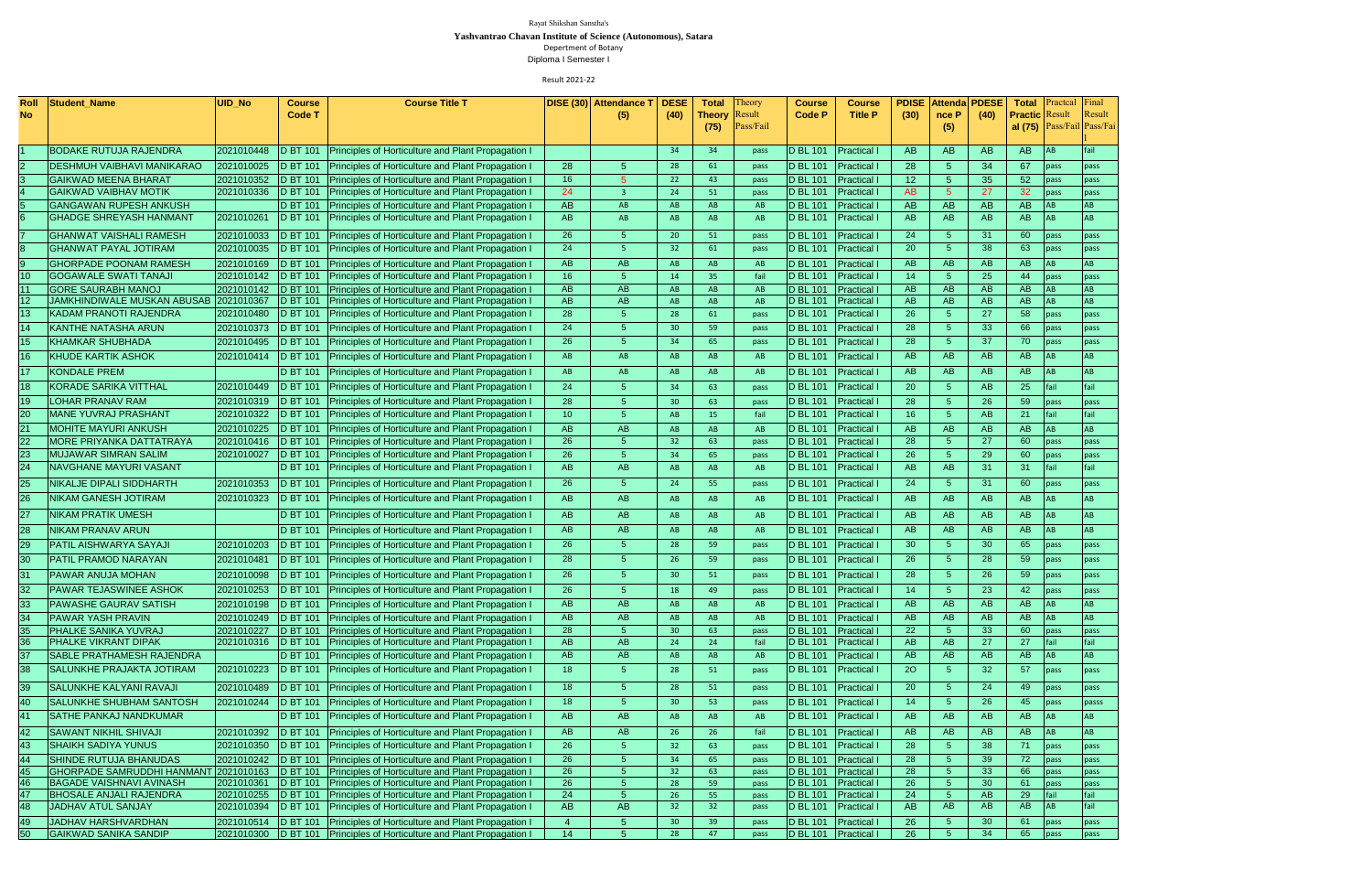| <b>Roll</b>     | <b>Student Name</b>                | UID_No     | <b>Course</b>    | <b>Course Title T</b>                                                  |                 | DISE (30) Attendance T | <b>DESE</b>     | <b>Total</b>         | Theory       | <b>Course</b>    | <b>Course</b>        | <b>PDISE</b>    | Attendal  | <b>PDESE</b>    | <b>Total</b>          | <b>Practical</b> | Final                      |
|-----------------|------------------------------------|------------|------------------|------------------------------------------------------------------------|-----------------|------------------------|-----------------|----------------------|--------------|------------------|----------------------|-----------------|-----------|-----------------|-----------------------|------------------|----------------------------|
| No              |                                    |            | <b>Code T</b>    |                                                                        |                 | (5)                    | (40)            | <b>Theory</b> Result |              | <b>Code P</b>    | <b>Title P</b>       | (30)            | nce P     | (40)            | <b>Practic Result</b> |                  | Result                     |
|                 |                                    |            |                  |                                                                        |                 |                        |                 | (75)                 | Pass/Fail    |                  |                      |                 | (5)       |                 |                       |                  | al (75) Pass/Fail Pass/Fai |
|                 |                                    |            |                  |                                                                        |                 |                        |                 |                      |              |                  |                      |                 |           |                 |                       |                  |                            |
|                 | <b>BODAKE RUTUJA RAJENDRA</b>      | 2021010448 | <b>D BT 101</b>  | Principles of Horticulture and Plant Propagation I                     |                 |                        | 34              | 34                   | pass         | <b>D</b> BL 101  | <b>Practical I</b>   | <b>AB</b>       | <b>AB</b> | AB.             | AB                    | <b>AB</b>        | fail                       |
|                 | <b>DESHMUH VAIBHAVI MANIKARAO</b>  | 2021010025 |                  | D BT 101 Principles of Horticulture and Plant Propagation I            | 28              | 5                      | 28              | 61                   | pass         | <b>D</b> BL 101  | <b>Practical I</b>   | 28              | 5         | 34              | 67                    | pass             | pass                       |
|                 | <b>GAIKWAD MEENA BHARAT</b>        | 2021010352 | <b>D BT 101</b>  | Principles of Horticulture and Plant Propagation I                     | 16              | 5                      | 22              | 43                   | pass         | <b>D</b> BL 101  | <b>Practical I</b>   | 12 <sup>2</sup> |           | 35              | 52                    | pass             | pass                       |
|                 | <b>GAIKWAD VAIBHAV MOTIK</b>       | 2021010336 |                  | D BT 101   Principles of Horticulture and Plant Propagation I          | 24              | -3                     | 24              | 51                   | pass         | D BL 101         | <b>Practical I</b>   | AB              |           | 27              | 32                    | pass             | pass                       |
|                 | <b>GANGAWAN RUPESH ANKUSH</b>      |            | <b>D BT 101</b>  | Principles of Horticulture and Plant Propagation I                     | AB              | AB                     | AB              | AB                   | AB           | <b>D BL 101</b>  | <b>Practical I</b>   | <b>AB</b>       | <b>AB</b> | AB.             | <b>AB</b>             | <b>AB</b>        | <b>AB</b>                  |
|                 | <b>GHADGE SHREYASH HANMANT</b>     | 2021010261 | <b>D BT 101</b>  | Principles of Horticulture and Plant Propagation I                     | AB              | AB                     | AB              | AB                   | AB           | <b>D BL 101</b>  | <b>Practical I</b>   | <b>AB</b>       | AB        | AB              | AB                    | <b>AB</b>        | AB                         |
|                 | <b>GHANWAT VAISHALI RAMESH</b>     | 2021010033 | D BT 101         | <b>Principles of Horticulture and Plant Propagation I</b>              | 26              | 5                      | 20              | 51                   | pass         | <b>D</b> BL 101  | <b>Practical I</b>   | 24              | -5        | 31              | 60                    | pass             | pass                       |
|                 | <b>GHANWAT PAYAL JOTIRAM</b>       | 2021010035 | <b>D BT 101</b>  | <b>Principles of Horticulture and Plant Propagation I</b>              | 24              | $\overline{5}$         | 32              | 61                   | pass         | D BL 101         | <b>Practical I</b>   | 20              | .5        | 38              | 63                    | pass             | pass                       |
|                 | <b>GHORPADE POONAM RAMESH</b>      | 2021010169 | <b>D BT 101</b>  | Principles of Horticulture and Plant Propagation I                     | <b>AB</b>       | AB                     | AB              | AB                   | AB           | D BL 101         | <b>Practical I</b>   | AB              | AB        | AB              | AB                    | <b>AB</b>        | AB                         |
|                 | <b>GOGAWALE SWATI TANAJI</b>       | 2021010142 |                  | D BT 101 Principles of Horticulture and Plant Propagation I            | 16              | 5 <sup>5</sup>         | 14              | 35                   | fail         | <b>D BL 101</b>  | <b>Practical I</b>   | 14              | -5        | 25              | 44                    | pass             | pass                       |
|                 | <b>GORE SAURABH MANOJ</b>          | 2021010142 |                  | D BT 101 Principles of Horticulture and Plant Propagation I            | AB              | AB                     | AB              | AB                   | AB           | <b>D</b> BL 101  | <b>Practical I</b>   | AB              | AB        | AB              | AB                    | <b>AB</b>        | AB                         |
| 12 <sub>2</sub> | <b>JAMKHINDIWALE MUSKAN ABUSAB</b> | 2021010367 |                  | D BT 101 Principles of Horticulture and Plant Propagation I            | <b>AB</b>       | AB                     | AB              | AB                   | AB           | <b>D</b> BL 101  | <b>Practical I</b>   | AB              | AB        | AB              | AB                    | <b>AB</b>        | AB                         |
| 13              | KADAM PRANOTI RAJENDRA             | 2021010480 |                  | D BT 101   Principles of Horticulture and Plant Propagation I          | 28              | 5 <sup>5</sup>         | 28              | 61                   | pass         | <b>D BL 101</b>  | <b>Practical I</b>   | 26              | 5         | 27              | 58                    | pass             | pass                       |
|                 | <b>KANTHE NATASHA ARUN</b>         | 2021010373 |                  | D BT 101 Principles of Horticulture and Plant Propagation I            | 24              | 5 <sup>5</sup>         | 30 <sup>°</sup> | 59                   | pass         | <b>D BL 101</b>  | <b>Practical I</b>   | 28              |           | 33              | 66                    | pass             | pass                       |
| 15 <sub>1</sub> | <b>KHAMKAR SHUBHADA</b>            | 2021010495 |                  | D BT 101 Principles of Horticulture and Plant Propagation I            | 26              | 5 <sup>1</sup>         | 34              | 65                   | pass         | D BL 101         | <b>Practical I</b>   | 28              |           | 37              | 70                    | pass             | pass                       |
|                 | <b>KHUDE KARTIK ASHOK</b>          | 2021010414 |                  | D BT 101   Principles of Horticulture and Plant Propagation I          | AB              | AB                     | AB              | AB                   | AB           | D BL 101         | <b>Practical I</b>   | AB              | AB        | <b>AB</b>       | AB                    | <b>AB</b>        | AB                         |
| 17              | <b>KONDALE PREM</b>                |            | <b>D BT 101</b>  | <b>Principles of Horticulture and Plant Propagation I</b>              | AB              | AB                     | AB              | AB                   | AB           | <b>D</b> BL 101  | <b>Practical I</b>   | AB              | AB        | AB              | AB                    | <b>AB</b>        | AB                         |
| 18              | <b>KORADE SARIKA VITTHAL</b>       | 2021010449 | <b>D BT 101</b>  | Principles of Horticulture and Plant Propagation I                     | 24              | 5                      | 34              | 63                   | pass         | <b>D</b> BL 101  | <b>Practical I</b>   | 20              | -5        | <b>AB</b>       | 25                    | fail             | fail                       |
| 19              | <b>LOHAR PRANAV RAM</b>            | 2021010319 | <b>D BT 101</b>  | Principles of Horticulture and Plant Propagation I                     | 28              | 5                      | 30              | 63                   |              | <b>D</b> BL 101  | <b>Practical I</b>   | 28              |           | 26              | 59                    |                  |                            |
|                 | <b>MANE YUVRAJ PRASHANT</b>        |            |                  |                                                                        | 10 <sup>°</sup> | 5.                     |                 |                      | pass<br>fail |                  |                      | 16 <sup>°</sup> |           | <b>AB</b>       | 21                    | pass<br>fail     | pass<br>fail               |
| 20              |                                    | 2021010322 | <b>D BT 101</b>  | Principles of Horticulture and Plant Propagation I                     |                 |                        | AB              | 15                   |              | D BL 101         | <b>Practical I</b>   |                 |           |                 |                       |                  |                            |
| 21              | <b>MOHITE MAYURI ANKUSH</b>        | 2021010225 | <b>ID BT 101</b> | <b>Principles of Horticulture and Plant Propagation I</b>              | <b>AB</b>       | AB                     | AB              | AB                   | AB           | <b>D</b> BL 101  | <b>Practical I</b>   | AB              | AB        | AB              | <b>AB</b>             | <b>AB</b>        | AB                         |
| 22.             | <b>MORE PRIYANKA DATTATRAYA</b>    | 2021010416 |                  | D BT 101 Principles of Horticulture and Plant Propagation I            | 26              |                        | 32              | 63                   | pass         | D BL 101         | <b>Practical I</b>   | 28              |           | <b>27</b>       | 60                    | pass             | pass                       |
|                 | <b>MUJAWAR SIMRAN SALIM</b>        | 2021010027 | <b>D BT 101</b>  | Principles of Horticulture and Plant Propagation I                     | 26              |                        | 34              | 65                   | pass         | <b>D</b> BL 101  | <b>Practical I</b>   | 26              |           | 29              | 60                    | <b>pass</b>      | pass                       |
| 24              | NAVGHANE MAYURI VASANT             |            | <b>D BT 101</b>  | Principles of Horticulture and Plant Propagation I                     | <b>AB</b>       | AB                     | AB              | AB                   | AB           | <b>D</b> BL 101  | <b>Practical I</b>   | AB.             | AB        | 31              | 31                    | fail             | fail                       |
| 25              | <b>NIKALJE DIPALI SIDDHARTH</b>    | 2021010353 |                  | D BT 101   Principles of Horticulture and Plant Propagation I          | 26              | 5 <sup>5</sup>         | 24              | 55                   | pass         | <b>D BL 101</b>  | <b>Practical I</b>   | 24              | -5        | 31              | 60                    | <b>pass</b>      | pass                       |
|                 | NIKAM GANESH JOTIRAM               | 2021010323 | <b>D BT 101</b>  | Principles of Horticulture and Plant Propagation I                     | AB              | AB                     | AB              | AB                   | AB           | <b>D</b> BL 101  | <b>Practical I</b>   | AB              | AB        | AB              | <b>AB</b>             | IAB.             |                            |
| 27              | NIKAM PRATIK UMESH                 |            | <b>D BT 101</b>  | Principles of Horticulture and Plant Propagation I                     | AB              | AB                     | AB              | AB                   | AB           | <b>D</b> BL 101  | <b>Practical I</b>   | AB              | AB        | <b>AB</b>       | <b>AB</b>             | IAB              | AB.                        |
|                 | <b>NIKAM PRANAV ARUN</b>           |            | <b>D BT 101</b>  | Principles of Horticulture and Plant Propagation I                     | AB              | AB                     | AB.             | AB                   | AB           | <b>D BL 101</b>  | <b>Practical I</b>   | AB              | AB        | AB              | <b>AB</b>             | IAB.             | AB                         |
| 29.             | PATIL AISHWARYA SAYAJI             | 2021010203 | <b>D BT 101</b>  | <b>Principles of Horticulture and Plant Propagation I</b>              | 26              | 5 <sup>5</sup>         | 28              | 59                   | pass         | <b>D</b> BL 101  | <b>Practical I</b>   | 30 <sup>°</sup> | -5        | 30              | 65                    | pass             | pass                       |
| 30              | PATIL PRAMOD NARAYAN               | 2021010481 | <b>D BT 101</b>  | <b>Principles of Horticulture and Plant Propagation I</b>              | 28              | 5                      | 26              | 59                   | pass         | <b>ID BL 101</b> | <b>Practical I</b>   | 26 <sup>°</sup> | -5        | 28              | 59                    | pass             | pass                       |
|                 | PAWAR ANUJA MOHAN                  | 2021010098 | <b>D BT 101</b>  | Principles of Horticulture and Plant Propagation I                     | 26              | 5.                     | 30 <sup>°</sup> | 51                   | pass         | <b>D BL 101</b>  | <b>Practical I</b>   | 28              | -5        | 26              | 59                    | pass             | pass                       |
| 32              | <b>PAWAR TEJASWINEE ASHOK</b>      | 2021010253 | <b>D BT 101</b>  | Principles of Horticulture and Plant Propagation I                     | 26              | 5.                     | 18              | 49                   | pass         | <b>D</b> BL 101  | <b>Practical I</b>   | 14              | -5        | 23              | 42                    | pass             | pass                       |
| 33              | <b>PAWASHE GAURAV SATISH</b>       | 2021010198 | <b>D BT 101</b>  | <b>Principles of Horticulture and Plant Propagation I</b>              | AB              | AB                     | AB              | AB                   | AB           | <b>D BL 101</b>  | <b>Practical I</b>   | AB              | AB.       | <b>AB</b>       | AB                    | AB               | AB.                        |
| 34              | <b>PAWAR YASH PRAVIN</b>           | 2021010249 | <b>D BT 101</b>  | Principles of Horticulture and Plant Propagation I                     | AB              | AB                     | AB              | AB                   |              | <b>D</b> BL 101  | <b>Practical I</b>   | AB              | AB        | <b>AB</b>       | AB                    | A <sub>B</sub>   | AB                         |
| 35              | PHALKE SANIKA YUVRAJ               | 2021010227 | <b>ID BT 101</b> | Principles of Horticulture and Plant Propagation I                     | 28              | 5 <sup>1</sup>         | 30 <sup>°</sup> | 63                   | AB           | <b>D</b> BL 101  | <b>Practical I</b>   | 22              |           | 33              | 60                    | pass             | pass                       |
| 36              | PHALKE VIKRANT DIPAK               | 2021010316 | <b>D BT 101</b>  | Principles of Horticulture and Plant Propagation I                     | <b>AB</b>       | AB                     | 24              | 24                   | pass<br>fail | <b>D</b> BL 101  | <b>Practical I</b>   | AB              | AB        | 27              | 27                    | fail             | fail                       |
| 37              | SABLE PRATHAMESH RAJENDRA          |            | <b>D BT 101</b>  | Principles of Horticulture and Plant Propagation I                     | AB              | AB                     | AB.             | AB                   | AB           | <b>D BL 101</b>  | <b>Practical I</b>   | AB.             | AB.       | AB              | <b>AB</b>             | <b>AB</b>        | AB                         |
| 38              | <b>SALUNKHE PRAJAKTA JOTIRAM</b>   | 2021010223 | <b>D BT 101</b>  | Principles of Horticulture and Plant Propagation I                     | 18 <sup>°</sup> | 5.                     | 28              | 51                   | pass         | <b>D BL 101</b>  | <b>Practical I</b>   | <b>20</b>       |           | 32 <sub>2</sub> | 57                    | pass             | pass                       |
|                 |                                    |            |                  |                                                                        |                 |                        |                 |                      |              |                  |                      |                 |           |                 |                       |                  |                            |
| 39              | <b>SALUNKHE KALYANI RAVAJI</b>     | 2021010489 | <b>D BT 101</b>  | Principles of Horticulture and Plant Propagation I                     | 18 <sup>°</sup> | 5 <sup>1</sup>         | 28              | 51                   | pass         | <b>D</b> BL 101  | <b>Practical I</b>   | 20              | -5.       | 24              | 49                    | <b>pass</b>      | pass                       |
| 40              | <b>SALUNKHE SHUBHAM SANTOSH</b>    | 2021010244 | <b>D BT 101</b>  | Principles of Horticulture and Plant Propagation I                     | 18 <sup>°</sup> | 5                      | 30 <sup>°</sup> | 53                   | pass         | <b>D</b> BL 101  | <b>Practical I</b>   | 14 <sup>1</sup> | -5        | 26              | 45                    | pass             | passs                      |
|                 | <b>SATHE PANKAJ NANDKUMAR</b>      |            | <b>D BT 101</b>  | Principles of Horticulture and Plant Propagation I                     | AB              | AB                     | AB              | AB                   | AB           | <b>D</b> BL 101  | <b>Practical I</b>   | AB.             | AB        | AB              | AB                    | l AB             | AB.                        |
| 42              | <b>SAWANT NIKHIL SHIVAJI</b>       | 2021010392 | <b>D BT 101</b>  | Principles of Horticulture and Plant Propagation I                     | AB              | AB                     | 26              | 26 <sup>°</sup>      | fail         | <b>D</b> BL 101  | <b>Practical I</b>   | AB              | AB.       | <b>AB</b>       | AB                    | <b>AB</b>        | AB                         |
| 43              | <b>SHAIKH SADIYA YUNUS</b>         | 2021010350 | <b>D BT 101</b>  | Principles of Horticulture and Plant Propagation I                     | 26              | 5.                     | 32 <sub>2</sub> | 63                   | pass         | <b>D BL 101</b>  | <b>Practical I</b>   | 28              | -5        | 38              | 71                    | pass             | pass                       |
| 44              | <b>SHINDE RUTUJA BHANUDAS</b>      | 2021010242 | <b>D BT 101</b>  | Principles of Horticulture and Plant Propagation I                     | 26              |                        | 34              | 65                   | pass         | <b>D</b> BL 101  | <b>Practical I</b>   | 28              |           | 39              | 72                    | pass             | pass                       |
| 45              | <b>GHORPADE SAMRUDDHI HANMANT</b>  | 2021010163 | <b>D BT 101</b>  | Principles of Horticulture and Plant Propagation I                     | 26              |                        | 32              | 63                   | pass         | <b>D</b> BL 101  | <b>Practical I</b>   | 28              |           | 33              | 66                    | pass             | pass                       |
| 46              | <b>BAGADE VAISHNAVI AVINASH</b>    | 2021010361 | <b>D BT 101</b>  | <b>Principles of Horticulture and Plant Propagation I</b>              | 26              |                        | 28              | 59                   | pass         | <b>ID BL 101</b> | <b>Practical I</b>   | 26              |           | 30              | 61                    | pass             | pass                       |
|                 | <b>BHOSALE ANJALI RAJENDRA</b>     | 2021010255 | <b>ID BT 101</b> | <b>Principles of Horticulture and Plant Propagation I</b>              | 24              |                        | 26              | 55                   | pass         | <b>D BL 101</b>  | <b>Practical I</b>   | 24              |           | AB              | 29                    | fail             |                            |
| 48              | <b>JADHAV ATUL SANJAY</b>          | 2021010394 |                  | D BT 101 Principles of Horticulture and Plant Propagation I            | <b>AB</b>       | AB                     | 32              | 32 <sub>2</sub>      | pass         | D BL 101         | <b>Practical I</b>   | <b>AB</b>       | <b>AB</b> | AB              | AB                    | <b>AB</b>        | fail                       |
| 49              | JADHAV HARSHVARDHAN                | 2021010514 |                  | D BT 101 Principles of Horticulture and Plant Propagation I            | $\overline{4}$  | 5 <sup>5</sup>         | 30 <sup>°</sup> | 39                   | pass         | D BL 101         | <b>Practical I</b>   | 26              |           | 30 <sub>o</sub> | 61                    | $\vert$ pass     | pass                       |
| 50              | <b>GAIKWAD SANIKA SANDIP</b>       |            |                  | 2021010300 D BT 101 Principles of Horticulture and Plant Propagation I | 14              |                        | 28              | 47                   | pass         |                  | D BL 101 Practical I | 26              |           | 34              | 65                    | pass             | pass                       |

Depertment of Botany Diploma I Semester I

Result 2021-22

Rayat Shikshan Sanstha's

**Yashvantrao Chavan Institute of Science (Autonomous), Satara**